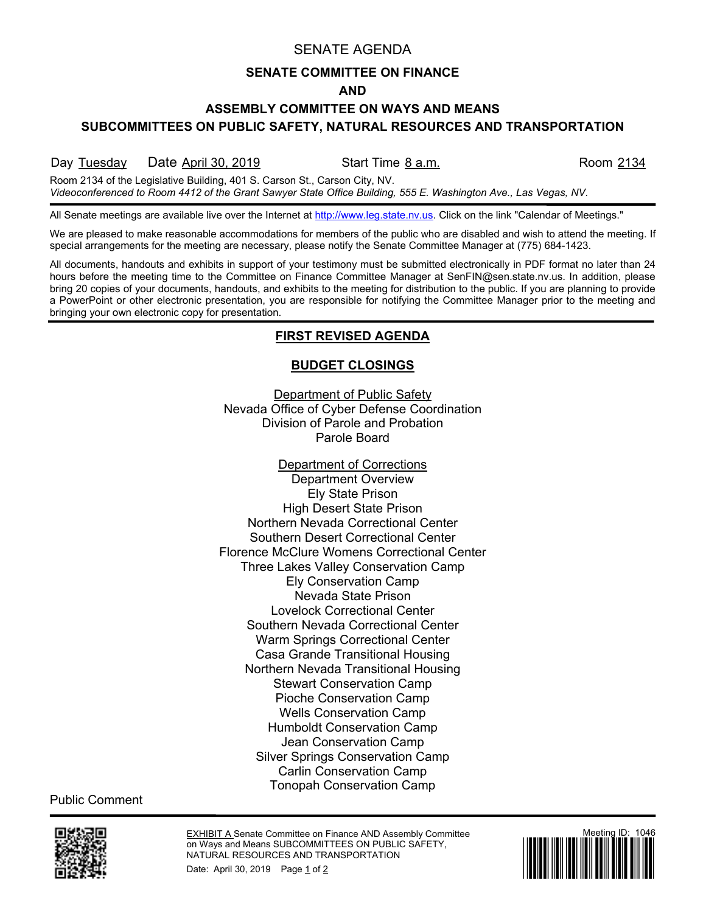# SENATE AGENDA

#### **SENATE COMMITTEE ON FINANCE**

#### **AND**

# **ASSEMBLY COMMITTEE ON WAYS AND MEANS**

**SUBCOMMITTEES ON PUBLIC SAFETY, NATURAL RESOURCES AND TRANSPORTATION**

Day Tuesday Date April 30, 2019 Start Time 8 a.m. Start Start Start April 2134

Room 2134 of the Legislative Building, 401 S. Carson St., Carson City, NV. *Videoconferenced to Room 4412 of the Grant Sawyer State Office Building, 555 E. Washington Ave., Las Vegas, NV.*

All Senate meetings are available live over the Internet at [http://www.leg.state.nv.us.](http://www.leg.state.nv.us/) Click on the link "Calendar of Meetings."

We are pleased to make reasonable accommodations for members of the public who are disabled and wish to attend the meeting. If special arrangements for the meeting are necessary, please notify the Senate Committee Manager at (775) 684-1423.

All documents, handouts and exhibits in support of your testimony must be submitted electronically in PDF format no later than 24 hours before the meeting time to the Committee on Finance Committee Manager at SenFIN@sen.state.nv.us. In addition, please bring 20 copies of your documents, handouts, and exhibits to the meeting for distribution to the public. If you are planning to provide a PowerPoint or other electronic presentation, you are responsible for notifying the Committee Manager prior to the meeting and bringing your own electronic copy for presentation.

# **FIRST REVISED AGENDA**

# **BUDGET CLOSINGS**

Department of Public Safety Nevada Office of Cyber Defense Coordination Division of Parole and Probation Parole Board

Department of Corrections Department Overview Ely State Prison High Desert State Prison Northern Nevada Correctional Center Southern Desert Correctional Center Florence McClure Womens Correctional Center Three Lakes Valley Conservation Camp Ely Conservation Camp Nevada State Prison Lovelock Correctional Center Southern Nevada Correctional Center Warm Springs Correctional Center Casa Grande Transitional Housing Northern Nevada Transitional Housing Stewart Conservation Camp Pioche Conservation Camp Wells Conservation Camp Humboldt Conservation Camp Jean Conservation Camp Silver Springs Conservation Camp Carlin Conservation Camp Tonopah Conservation Camp

Public Comment



EXHIBIT A Senate Committee on Finance AND Assembly Committee on Ways and Means SUBCOMMITTEES ON PUBLIC SAFETY, NATURAL RESOURCES AND TRANSPORTATION Date: April 30, 2019 Page 1 of 2